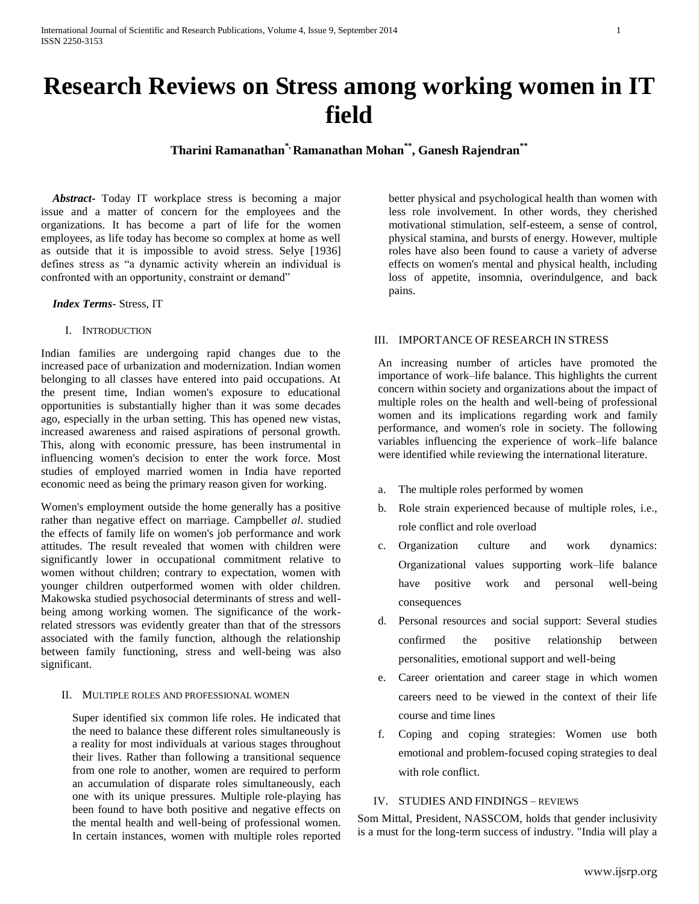# **Research Reviews on Stress among working women in IT field**

**Tharini Ramanathan\*, Ramanathan Mohan\*\* , Ganesh Rajendran\*\***

 *Abstract***-** Today IT workplace stress is becoming a major issue and a matter of concern for the employees and the organizations. It has become a part of life for the women employees, as life today has become so complex at home as well as outside that it is impossible to avoid stress. Selye [1936] defines stress as "a dynamic activity wherein an individual is confronted with an opportunity, constraint or demand"

#### *Index Terms*- Stress, IT

## I. INTRODUCTION

Indian families are undergoing rapid changes due to the increased pace of urbanization and modernization. Indian women belonging to all classes have entered into paid occupations. At the present time, Indian women's exposure to educational opportunities is substantially higher than it was some decades ago, especially in the urban setting. This has opened new vistas, increased awareness and raised aspirations of personal growth. This, along with economic pressure, has been instrumental in influencing women's decision to enter the work force. Most studies of employed married women in India have reported economic need as being the primary reason given for working.

Women's employment outside the home generally has a positive rather than negative effect on marriage. Campbell*et al*. studied the effects of family life on women's job performance and work attitudes. The result revealed that women with children were significantly lower in occupational commitment relative to women without children; contrary to expectation, women with younger children outperformed women with older children. Makowska studied psychosocial determinants of stress and wellbeing among working women. The significance of the workrelated stressors was evidently greater than that of the stressors associated with the family function, although the relationship between family functioning, stress and well-being was also significant.

#### II. MULTIPLE ROLES AND PROFESSIONAL WOMEN

Super identified six common life roles. He indicated that the need to balance these different roles simultaneously is a reality for most individuals at various stages throughout their lives. Rather than following a transitional sequence from one role to another, women are required to perform an accumulation of disparate roles simultaneously, each one with its unique pressures. Multiple role-playing has been found to have both positive and negative effects on the mental health and well-being of professional women. In certain instances, women with multiple roles reported

better physical and psychological health than women with less role involvement. In other words, they cherished motivational stimulation, self-esteem, a sense of control, physical stamina, and bursts of energy. However, multiple roles have also been found to cause a variety of adverse effects on women's mental and physical health, including loss of appetite, insomnia, overindulgence, and back pains.

#### III. IMPORTANCE OF RESEARCH IN STRESS

An increasing number of articles have promoted the importance of work–life balance. This highlights the current concern within society and organizations about the impact of multiple roles on the health and well-being of professional women and its implications regarding work and family performance, and women's role in society. The following variables influencing the experience of work–life balance were identified while reviewing the international literature.

- a. The multiple roles performed by women
- b. Role strain experienced because of multiple roles, i.e., role conflict and role overload
- c. Organization culture and work dynamics: Organizational values supporting work–life balance have positive work and personal well-being consequences
- d. Personal resources and social support: Several studies confirmed the positive relationship between personalities, emotional support and well-being
- e. Career orientation and career stage in which women careers need to be viewed in the context of their life course and time lines
- f. Coping and coping strategies: Women use both emotional and problem-focused coping strategies to deal with role conflict.

#### IV. STUDIES AND FINDINGS – REVIEWS

Som Mittal, President, NASSCOM, holds that gender inclusivity is a must for the long-term success of industry. "India will play a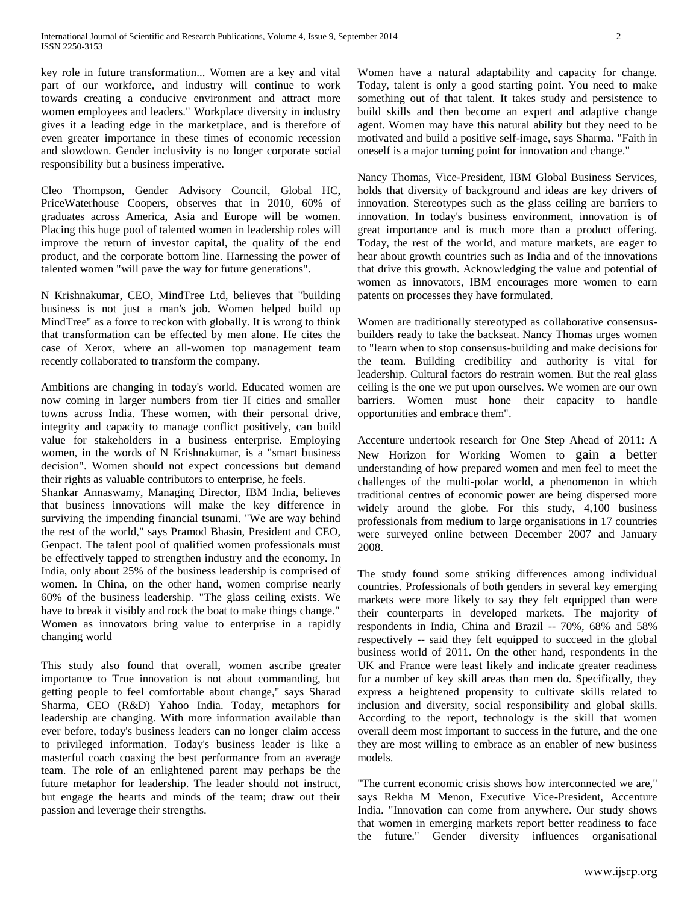key role in future transformation... Women are a key and vital part of our workforce, and industry will continue to work towards creating a conducive environment and attract more women employees and leaders." Workplace diversity in industry gives it a leading edge in the marketplace, and is therefore of even greater importance in these times of economic recession and slowdown. Gender inclusivity is no longer corporate social responsibility but a business imperative.

Cleo Thompson, Gender Advisory Council, Global HC, PriceWaterhouse Coopers, observes that in 2010, 60% of graduates across America, Asia and Europe will be women. Placing this huge pool of talented women in leadership roles will improve the return of investor capital, the quality of the end product, and the corporate bottom line. Harnessing the power of talented women "will pave the way for future generations".

N Krishnakumar, CEO, MindTree Ltd, believes that "building business is not just a man's job. Women helped build up MindTree" as a force to reckon with globally. It is wrong to think that transformation can be effected by men alone. He cites the case of Xerox, where an all-women top management team recently collaborated to transform the company.

Ambitions are changing in today's world. Educated women are now coming in larger numbers from tier II cities and smaller towns across India. These women, with their personal drive, integrity and capacity to manage conflict positively, can build value for stakeholders in a business enterprise. Employing women, in the words of N Krishnakumar, is a "smart business decision". Women should not expect concessions but demand their rights as valuable contributors to enterprise, he feels.

Shankar Annaswamy, Managing Director, IBM India, believes that business innovations will make the key difference in surviving the impending financial tsunami. "We are way behind the rest of the world," says Pramod Bhasin, President and CEO, Genpact. The talent pool of qualified women professionals must be effectively tapped to strengthen industry and the economy. In India, only about 25% of the business leadership is comprised of women. In China, on the other hand, women comprise nearly 60% of the business leadership. "The glass ceiling exists. We have to break it visibly and rock the boat to make things change." Women as innovators bring value to enterprise in a rapidly changing world

This study also found that overall, women ascribe greater importance to True innovation is not about commanding, but getting people to feel comfortable about change," says Sharad Sharma, CEO (R&D) Yahoo India. Today, metaphors for leadership are changing. With more information available than ever before, today's business leaders can no longer claim access to privileged information. Today's business leader is like a masterful coach coaxing the best performance from an average team. The role of an enlightened parent may perhaps be the future metaphor for leadership. The leader should not instruct, but engage the hearts and minds of the team; draw out their passion and leverage their strengths.

Women have a natural adaptability and capacity for change. Today, talent is only a good starting point. You need to make something out of that talent. It takes study and persistence to build skills and then become an expert and adaptive change agent. Women may have this natural ability but they need to be motivated and build a positive self-image, says Sharma. "Faith in oneself is a major turning point for innovation and change."

Nancy Thomas, Vice-President, IBM Global Business Services, holds that diversity of background and ideas are key drivers of innovation. Stereotypes such as the glass ceiling are barriers to innovation. In today's business environment, innovation is of great importance and is much more than a product offering. Today, the rest of the world, and mature markets, are eager to hear about growth countries such as India and of the innovations that drive this growth. Acknowledging the value and potential of women as innovators, IBM encourages more women to earn patents on processes they have formulated.

Women are traditionally stereotyped as collaborative consensusbuilders ready to take the backseat. Nancy Thomas urges women to "learn when to stop consensus-building and make decisions for the team. Building credibility and authority is vital for leadership. Cultural factors do restrain women. But the real glass ceiling is the one we put upon ourselves. We women are our own barriers. Women must hone their capacity to handle opportunities and embrace them".

Accenture undertook research for One Step Ahead of 2011: A New Horizon for Working Women to gain a better understanding of how prepared women and men feel to meet the challenges of the multi-polar world, a phenomenon in which traditional centres of economic power are being dispersed more widely around the globe. For this study, 4,100 business professionals from medium to large organisations in 17 countries were surveyed online between December 2007 and January 2008.

The study found some striking differences among individual countries. Professionals of both genders in several key emerging markets were more likely to say they felt equipped than were their counterparts in developed markets. The majority of respondents in India, China and Brazil -- 70%, 68% and 58% respectively -- said they felt equipped to succeed in the global business world of 2011. On the other hand, respondents in the UK and France were least likely and indicate greater readiness for a number of key skill areas than men do. Specifically, they express a heightened propensity to cultivate skills related to inclusion and diversity, social responsibility and global skills. According to the report, technology is the skill that women overall deem most important to success in the future, and the one they are most willing to embrace as an enabler of new business models.

"The current economic crisis shows how interconnected we are," says Rekha M Menon, Executive Vice-President, Accenture India. "Innovation can come from anywhere. Our study shows that women in emerging markets report better readiness to face the future." Gender diversity influences organisational